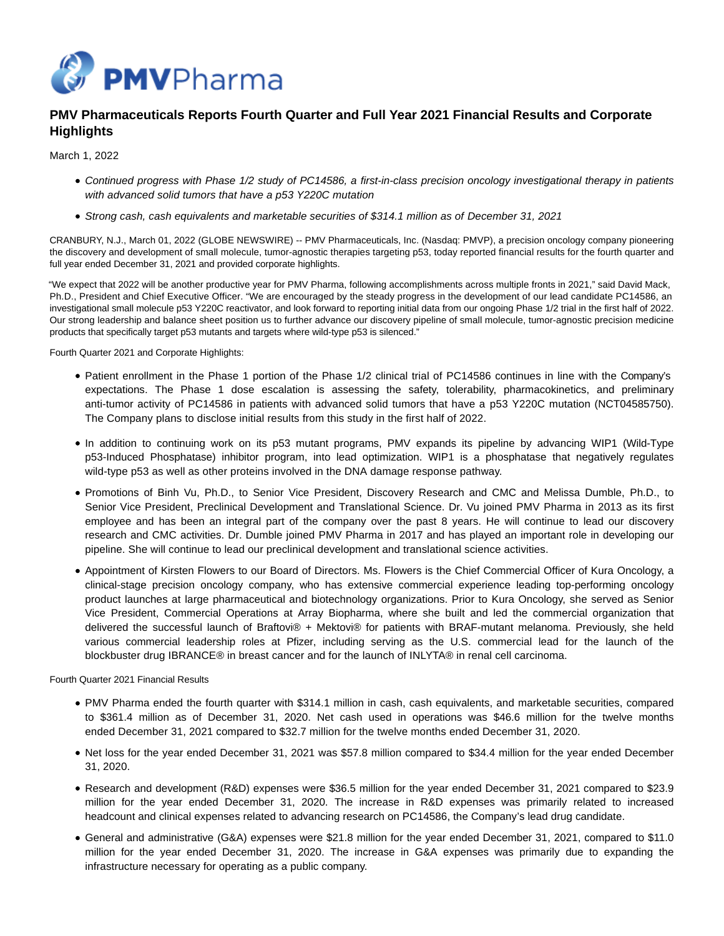

# **PMV Pharmaceuticals Reports Fourth Quarter and Full Year 2021 Financial Results and Corporate Highlights**

March 1, 2022

- Continued progress with Phase 1/2 study of PC14586, a first-in-class precision oncology investigational therapy in patients with advanced solid tumors that have a p53 Y220C mutation
- Strong cash, cash equivalents and marketable securities of \$314.1 million as of December 31, 2021

CRANBURY, N.J., March 01, 2022 (GLOBE NEWSWIRE) -- PMV Pharmaceuticals, Inc. (Nasdaq: PMVP), a precision oncology company pioneering the discovery and development of small molecule, tumor-agnostic therapies targeting p53, today reported financial results for the fourth quarter and full year ended December 31, 2021 and provided corporate highlights.

"We expect that 2022 will be another productive year for PMV Pharma, following accomplishments across multiple fronts in 2021," said David Mack, Ph.D., President and Chief Executive Officer. "We are encouraged by the steady progress in the development of our lead candidate PC14586, an investigational small molecule p53 Y220C reactivator, and look forward to reporting initial data from our ongoing Phase 1/2 trial in the first half of 2022. Our strong leadership and balance sheet position us to further advance our discovery pipeline of small molecule, tumor-agnostic precision medicine products that specifically target p53 mutants and targets where wild-type p53 is silenced."

Fourth Quarter 2021 and Corporate Highlights:

- Patient enrollment in the Phase 1 portion of the Phase 1/2 clinical trial of PC14586 continues in line with the Company's expectations. The Phase 1 dose escalation is assessing the safety, tolerability, pharmacokinetics, and preliminary anti-tumor activity of PC14586 in patients with advanced solid tumors that have a p53 Y220C mutation (NCT04585750). The Company plans to disclose initial results from this study in the first half of 2022.
- In addition to continuing work on its p53 mutant programs, PMV expands its pipeline by advancing WIP1 (Wild-Type p53-Induced Phosphatase) inhibitor program, into lead optimization. WIP1 is a phosphatase that negatively regulates wild-type p53 as well as other proteins involved in the DNA damage response pathway.
- Promotions of Binh Vu, Ph.D., to Senior Vice President, Discovery Research and CMC and Melissa Dumble, Ph.D., to Senior Vice President, Preclinical Development and Translational Science. Dr. Vu joined PMV Pharma in 2013 as its first employee and has been an integral part of the company over the past 8 years. He will continue to lead our discovery research and CMC activities. Dr. Dumble joined PMV Pharma in 2017 and has played an important role in developing our pipeline. She will continue to lead our preclinical development and translational science activities.
- Appointment of Kirsten Flowers to our Board of Directors. Ms. Flowers is the Chief Commercial Officer of Kura Oncology, a clinical-stage precision oncology company, who has extensive commercial experience leading top-performing oncology product launches at large pharmaceutical and biotechnology organizations. Prior to Kura Oncology, she served as Senior Vice President, Commercial Operations at Array Biopharma, where she built and led the commercial organization that delivered the successful launch of Braftovi® + Mektovi® for patients with BRAF-mutant melanoma. Previously, she held various commercial leadership roles at Pfizer, including serving as the U.S. commercial lead for the launch of the blockbuster drug IBRANCE® in breast cancer and for the launch of INLYTA® in renal cell carcinoma.

Fourth Quarter 2021 Financial Results

- PMV Pharma ended the fourth quarter with \$314.1 million in cash, cash equivalents, and marketable securities, compared to \$361.4 million as of December 31, 2020. Net cash used in operations was \$46.6 million for the twelve months ended December 31, 2021 compared to \$32.7 million for the twelve months ended December 31, 2020.
- Net loss for the year ended December 31, 2021 was \$57.8 million compared to \$34.4 million for the year ended December 31, 2020.
- Research and development (R&D) expenses were \$36.5 million for the year ended December 31, 2021 compared to \$23.9 million for the year ended December 31, 2020. The increase in R&D expenses was primarily related to increased headcount and clinical expenses related to advancing research on PC14586, the Company's lead drug candidate.
- General and administrative (G&A) expenses were \$21.8 million for the year ended December 31, 2021, compared to \$11.0 million for the year ended December 31, 2020. The increase in G&A expenses was primarily due to expanding the infrastructure necessary for operating as a public company.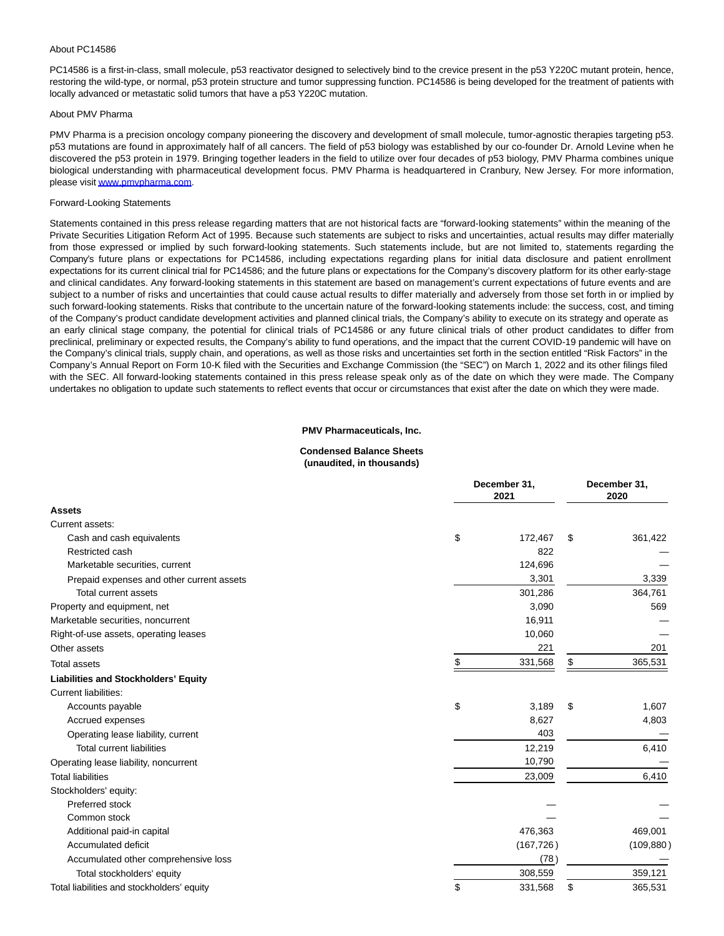#### About PC14586

PC14586 is a first-in-class, small molecule, p53 reactivator designed to selectively bind to the crevice present in the p53 Y220C mutant protein, hence, restoring the wild-type, or normal, p53 protein structure and tumor suppressing function. PC14586 is being developed for the treatment of patients with locally advanced or metastatic solid tumors that have a p53 Y220C mutation.

#### About PMV Pharma

PMV Pharma is a precision oncology company pioneering the discovery and development of small molecule, tumor-agnostic therapies targeting p53. p53 mutations are found in approximately half of all cancers. The field of p53 biology was established by our co-founder Dr. Arnold Levine when he discovered the p53 protein in 1979. Bringing together leaders in the field to utilize over four decades of p53 biology, PMV Pharma combines unique biological understanding with pharmaceutical development focus. PMV Pharma is headquartered in Cranbury, New Jersey. For more information, please visi[t www.pmvpharma.com.](https://www.globenewswire.com/Tracker?data=fwYHXvU-kpr2yQHBTwDijecE3bSQCvJSH4GhPStXrTsXZeViV1TfHCcj6yx4btmYgHxm_coUQgaRZqVcHlhJ8Q==)

#### Forward-Looking Statements

Statements contained in this press release regarding matters that are not historical facts are "forward-looking statements" within the meaning of the Private Securities Litigation Reform Act of 1995. Because such statements are subject to risks and uncertainties, actual results may differ materially from those expressed or implied by such forward-looking statements. Such statements include, but are not limited to, statements regarding the Company's future plans or expectations for PC14586, including expectations regarding plans for initial data disclosure and patient enrollment expectations for its current clinical trial for PC14586; and the future plans or expectations for the Company's discovery platform for its other early-stage and clinical candidates. Any forward-looking statements in this statement are based on management's current expectations of future events and are subject to a number of risks and uncertainties that could cause actual results to differ materially and adversely from those set forth in or implied by such forward-looking statements. Risks that contribute to the uncertain nature of the forward-looking statements include: the success, cost, and timing of the Company's product candidate development activities and planned clinical trials, the Company's ability to execute on its strategy and operate as an early clinical stage company, the potential for clinical trials of PC14586 or any future clinical trials of other product candidates to differ from preclinical, preliminary or expected results, the Company's ability to fund operations, and the impact that the current COVID-19 pandemic will have on the Company's clinical trials, supply chain, and operations, as well as those risks and uncertainties set forth in the section entitled "Risk Factors" in the Company's Annual Report on Form 10-K filed with the Securities and Exchange Commission (the "SEC") on March 1, 2022 and its other filings filed with the SEC. All forward-looking statements contained in this press release speak only as of the date on which they were made. The Company undertakes no obligation to update such statements to reflect events that occur or circumstances that exist after the date on which they were made.

#### **PMV Pharmaceuticals, Inc.**

#### **Condensed Balance Sheets (unaudited, in thousands)**

|                                             | December 31, | December 31,<br>2020 |    |            |
|---------------------------------------------|--------------|----------------------|----|------------|
| <b>Assets</b>                               |              |                      |    |            |
| Current assets:                             |              |                      |    |            |
| Cash and cash equivalents                   | \$           | 172,467              | \$ | 361,422    |
| Restricted cash                             |              | 822                  |    |            |
| Marketable securities, current              |              | 124,696              |    |            |
| Prepaid expenses and other current assets   |              | 3,301                |    | 3,339      |
| <b>Total current assets</b>                 |              | 301,286              |    | 364,761    |
| Property and equipment, net                 |              | 3,090                |    | 569        |
| Marketable securities, noncurrent           |              | 16,911               |    |            |
| Right-of-use assets, operating leases       |              | 10,060               |    |            |
| Other assets                                |              | 221                  |    | 201        |
| <b>Total assets</b>                         | \$           | 331,568              | \$ | 365,531    |
| <b>Liabilities and Stockholders' Equity</b> |              |                      |    |            |
| <b>Current liabilities:</b>                 |              |                      |    |            |
| Accounts payable                            | \$           | 3,189                | \$ | 1,607      |
| Accrued expenses                            |              | 8,627                |    | 4,803      |
| Operating lease liability, current          |              | 403                  |    |            |
| <b>Total current liabilities</b>            |              | 12,219               |    | 6,410      |
| Operating lease liability, noncurrent       |              | 10,790               |    |            |
| <b>Total liabilities</b>                    |              | 23,009               |    | 6,410      |
| Stockholders' equity:                       |              |                      |    |            |
| Preferred stock                             |              |                      |    |            |
| Common stock                                |              |                      |    |            |
| Additional paid-in capital                  |              | 476,363              |    | 469,001    |
| Accumulated deficit                         |              | (167, 726)           |    | (109, 880) |
| Accumulated other comprehensive loss        |              | (78)                 |    |            |
| Total stockholders' equity                  |              | 308,559              |    | 359,121    |
| Total liabilities and stockholders' equity  | \$           | 331,568              | \$ | 365,531    |